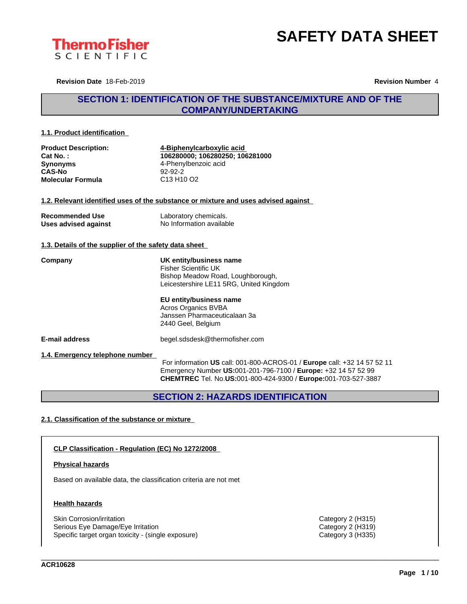



**Revision Date** 18-Feb-2019 **Revision Number** 4

# **SECTION 1: IDENTIFICATION OF THE SUBSTANCE/MIXTURE AND OF THE COMPANY/UNDERTAKING**

#### **1.1. Product identification**

| <b>Product Description:</b> | 4-Biphenylcarboxylic acid                      |  |
|-----------------------------|------------------------------------------------|--|
| Cat No. :                   | 106280000: 106280250: 106281000                |  |
| Synonyms                    | 4-Phenylbenzoic acid                           |  |
| CAS-No                      | $92-92-2$                                      |  |
| Molecular Formula           | C <sub>13</sub> H <sub>10</sub> O <sub>2</sub> |  |

#### **1.2. Relevant identified uses of the substance or mixture and uses advised against**

| <b>Recommended Use</b> | Laboratory chemicals.    |
|------------------------|--------------------------|
| Uses advised against   | No Information available |

### **1.3. Details of the supplier of the safety data sheet**

**Company UK entity/business name** Fisher Scientific UK Bishop Meadow Road, Loughborough, Leicestershire LE11 5RG, United Kingdom

> **EU entity/business name** Acros Organics BVBA Janssen Pharmaceuticalaan 3a 2440 Geel, Belgium

**E-mail address** begel.sdsdesk@thermofisher.com

**1.4. Emergency telephone number**

For information **US** call: 001-800-ACROS-01 / **Europe** call: +32 14 57 52 11 Emergency Number **US:**001-201-796-7100 / **Europe:** +32 14 57 52 99 **CHEMTREC** Tel. No.**US:**001-800-424-9300 / **Europe:**001-703-527-3887

\_\_\_\_\_\_\_\_\_\_\_\_\_\_\_\_\_\_\_\_\_\_\_\_\_\_\_\_\_\_\_\_\_\_\_\_\_\_\_\_\_\_\_\_\_\_\_\_\_\_\_\_\_\_\_\_\_\_\_\_\_\_\_\_\_\_\_\_\_\_\_\_\_\_\_\_\_\_\_\_\_\_\_\_\_\_\_\_\_\_\_\_\_\_

**SECTION 2: HAZARDS IDENTIFICATION**

### **2.1. Classification of the substance or mixture**

### **CLP Classification - Regulation (EC) No 1272/2008**

#### **Physical hazards**

Based on available data, the classification criteria are not met

#### **Health hazards**

Skin Corrosion/irritation Category 2 (H315) Serious Eye Damage/Eye Irritation Category 2 (H319) Specific target organ toxicity - (single exposure) Category 3 (H335) Category 3 (H335)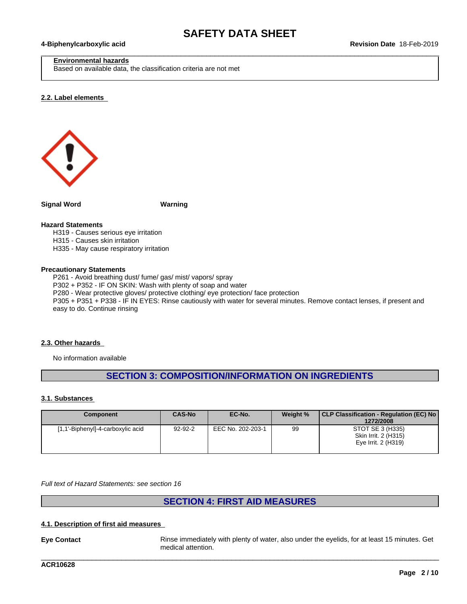$\_$  ,  $\_$  ,  $\_$  ,  $\_$  ,  $\_$  ,  $\_$  ,  $\_$  ,  $\_$  ,  $\_$  ,  $\_$  ,  $\_$  ,  $\_$  ,  $\_$  ,  $\_$  ,  $\_$  ,  $\_$  ,  $\_$  ,  $\_$  ,  $\_$  ,  $\_$  ,  $\_$  ,  $\_$  ,  $\_$  ,  $\_$  ,  $\_$  ,  $\_$  ,  $\_$  ,  $\_$  ,  $\_$  ,  $\_$  ,  $\_$  ,  $\_$  ,  $\_$  ,  $\_$  ,  $\_$  ,  $\_$  ,  $\_$  ,

#### **Environmental hazards**

Based on available data, the classification criteria are not met

#### **2.2. Label elements**



**Signal Word Warning**

#### **Hazard Statements**

H319 - Causes serious eye irritation

- H315 Causes skin irritation
- H335 May cause respiratory irritation

#### **Precautionary Statements**

P261 - Avoid breathing dust/ fume/ gas/ mist/ vapors/ spray P302 + P352 - IF ON SKIN: Wash with plenty of soap and water P280 - Wear protective gloves/ protective clothing/ eye protection/ face protection P305 + P351 + P338 - IF IN EYES: Rinse cautiously with water for several minutes. Remove contact lenses, if present and easy to do. Continue rinsing

#### **2.3. Other hazards**

No information available

# **SECTION 3: COMPOSITION/INFORMATION ON INGREDIENTS**

#### **3.1. Substances**

| <b>Component</b>                  | <b>CAS-No</b> | EC-No.            | Weight % | CLP Classification - Regulation (EC) No<br>1272/2008            |
|-----------------------------------|---------------|-------------------|----------|-----------------------------------------------------------------|
| [1,1'-Biphenyl]-4-carboxylic acid | $92 - 92 - 2$ | EEC No. 202-203-1 | 99       | STOT SE 3 (H335)<br>Skin Irrit. 2 (H315)<br>Eye Irrit. 2 (H319) |

*Full text of Hazard Statements: see section 16*

# **SECTION 4: FIRST AID MEASURES**

### **4.1. Description of first aid measures**

**Eye Contact** Rinse immediately with plenty of water, also under the eyelids, for at least 15 minutes. Get medical attention.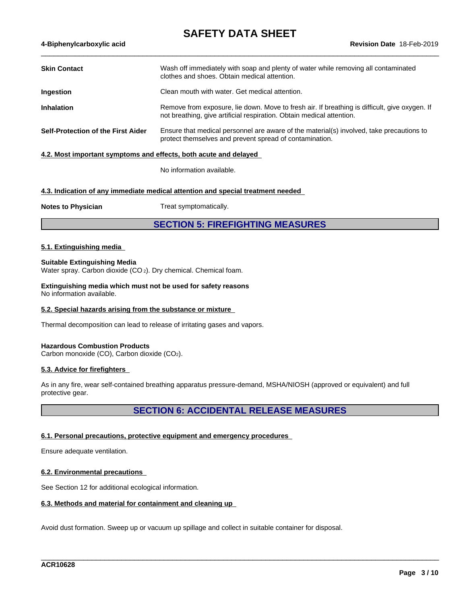| Wash off immediately with soap and plenty of water while removing all contaminated<br>clothes and shoes. Obtain medical attention.                                     |
|------------------------------------------------------------------------------------------------------------------------------------------------------------------------|
| Clean mouth with water. Get medical attention.                                                                                                                         |
| Remove from exposure, lie down. Move to fresh air. If breathing is difficult, give oxygen. If<br>not breathing, give artificial respiration. Obtain medical attention. |
| Ensure that medical personnel are aware of the material(s) involved, take precautions to<br>protect themselves and prevent spread of contamination.                    |
|                                                                                                                                                                        |

No information available.

### **4.3. Indication of any immediate medical attention and special treatment needed**

**Notes to Physician** Treat symptomatically.

# **SECTION 5: FIREFIGHTING MEASURES**

#### **5.1. Extinguishing media**

#### **Suitable Extinguishing Media**

Water spray. Carbon dioxide (CO 2). Dry chemical. Chemical foam.

**Extinguishing media which must not be used for safety reasons** No information available.

#### **5.2. Special hazards arising from the substance or mixture**

Thermal decomposition can lead to release of irritating gases and vapors.

#### **Hazardous Combustion Products**

Carbon monoxide (CO), Carbon dioxide (CO2).

#### **5.3. Advice for firefighters**

As in any fire, wear self-contained breathing apparatus pressure-demand, MSHA/NIOSH (approved or equivalent) and full protective gear.

# **SECTION 6: ACCIDENTAL RELEASE MEASURES**

\_\_\_\_\_\_\_\_\_\_\_\_\_\_\_\_\_\_\_\_\_\_\_\_\_\_\_\_\_\_\_\_\_\_\_\_\_\_\_\_\_\_\_\_\_\_\_\_\_\_\_\_\_\_\_\_\_\_\_\_\_\_\_\_\_\_\_\_\_\_\_\_\_\_\_\_\_\_\_\_\_\_\_\_\_\_\_\_\_\_\_\_\_\_

#### **6.1. Personal precautions, protective equipment and emergency procedures**

Ensure adequate ventilation.

#### **6.2. Environmental precautions**

See Section 12 for additional ecological information.

#### **6.3. Methods and material for containment and cleaning up**

Avoid dust formation. Sweep up or vacuum up spillage and collect in suitable container for disposal.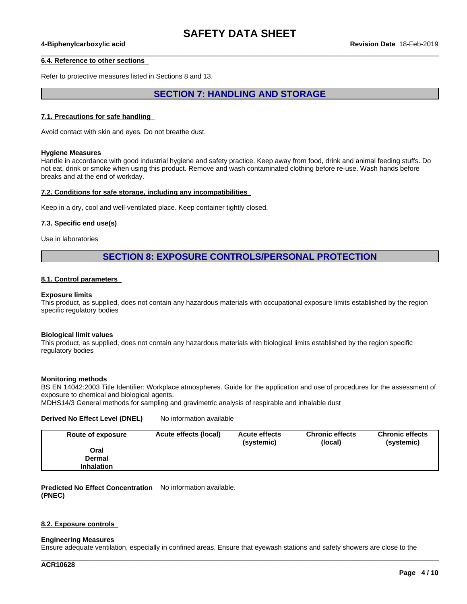$\_$  ,  $\_$  ,  $\_$  ,  $\_$  ,  $\_$  ,  $\_$  ,  $\_$  ,  $\_$  ,  $\_$  ,  $\_$  ,  $\_$  ,  $\_$  ,  $\_$  ,  $\_$  ,  $\_$  ,  $\_$  ,  $\_$  ,  $\_$  ,  $\_$  ,  $\_$  ,  $\_$  ,  $\_$  ,  $\_$  ,  $\_$  ,  $\_$  ,  $\_$  ,  $\_$  ,  $\_$  ,  $\_$  ,  $\_$  ,  $\_$  ,  $\_$  ,  $\_$  ,  $\_$  ,  $\_$  ,  $\_$  ,  $\_$  ,

#### **6.4. Reference to other sections**

Refer to protective measures listed in Sections 8 and 13.

# **SECTION 7: HANDLING AND STORAGE**

#### **7.1. Precautions for safe handling**

Avoid contact with skin and eyes. Do not breathe dust.

#### **Hygiene Measures**

Handle in accordance with good industrial hygiene and safety practice. Keep away from food, drink and animal feeding stuffs. Do not eat, drink or smoke when using this product. Remove and wash contaminated clothing before re-use. Wash hands before breaks and at the end of workday.

#### **7.2. Conditions for safe storage, including any incompatibilities**

Keep in a dry, cool and well-ventilated place. Keep container tightly closed.

#### **7.3. Specific end use(s)**

Use in laboratories

## **SECTION 8: EXPOSURE CONTROLS/PERSONAL PROTECTION**

#### **8.1. Control parameters**

#### **Exposure limits**

This product, as supplied, does not contain any hazardous materials with occupational exposure limits established by the region specific regulatory bodies

#### **Biological limit values**

This product, as supplied, does not contain any hazardous materials with biological limits established by the region specific regulatory bodies

#### **Monitoring methods**

BS EN 14042:2003 Title Identifier: Workplace atmospheres. Guide for the application and use of procedures for the assessment of exposure to chemical and biological agents.

MDHS14/3 General methods for sampling and gravimetric analysis of respirable and inhalable dust

#### **Derived No Effect Level (DNEL)** No information available

| Route of exposure | Acute effects (local) | <b>Acute effects</b><br>(systemic) | <b>Chronic effects</b><br>(local) | <b>Chronic effects</b><br>(systemic) |
|-------------------|-----------------------|------------------------------------|-----------------------------------|--------------------------------------|
| Oral              |                       |                                    |                                   |                                      |
| Dermal            |                       |                                    |                                   |                                      |
| <b>Inhalation</b> |                       |                                    |                                   |                                      |

**Predicted No Effect Concentration** No information available. **(PNEC)**

#### **8.2. Exposure controls**

#### **Engineering Measures**

Ensure adequate ventilation, especially in confined areas. Ensure that eyewash stations and safety showers are close to the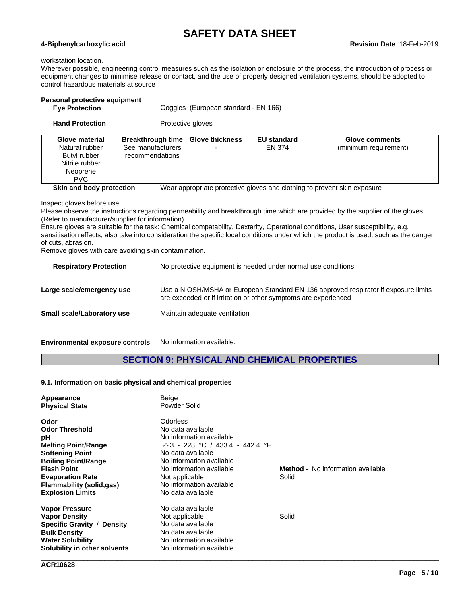$\_$  ,  $\_$  ,  $\_$  ,  $\_$  ,  $\_$  ,  $\_$  ,  $\_$  ,  $\_$  ,  $\_$  ,  $\_$  ,  $\_$  ,  $\_$  ,  $\_$  ,  $\_$  ,  $\_$  ,  $\_$  ,  $\_$  ,  $\_$  ,  $\_$  ,  $\_$  ,  $\_$  ,  $\_$  ,  $\_$  ,  $\_$  ,  $\_$  ,  $\_$  ,  $\_$  ,  $\_$  ,  $\_$  ,  $\_$  ,  $\_$  ,  $\_$  ,  $\_$  ,  $\_$  ,  $\_$  ,  $\_$  ,  $\_$  ,

### workstation location.

Wherever possible, engineering control measures such as the isolation or enclosure of the process, the introduction of process or equipment changes to minimise release or contact, and the use of properly designed ventilation systems, should be adopted to control hazardous materials at source

| Personal protective equipment<br><b>Eye Protection</b>                                                                                                                                   |                                                                  | Goggles (European standard - EN 166) |                                                                |                                                                                                                                                                                                                                                                                                                                                                                                                                                                                      |
|------------------------------------------------------------------------------------------------------------------------------------------------------------------------------------------|------------------------------------------------------------------|--------------------------------------|----------------------------------------------------------------|--------------------------------------------------------------------------------------------------------------------------------------------------------------------------------------------------------------------------------------------------------------------------------------------------------------------------------------------------------------------------------------------------------------------------------------------------------------------------------------|
| <b>Hand Protection</b>                                                                                                                                                                   |                                                                  | Protective gloves                    |                                                                |                                                                                                                                                                                                                                                                                                                                                                                                                                                                                      |
| <b>Glove material</b><br>Natural rubber<br>Butyl rubber<br>Nitrile rubber<br>Neoprene<br><b>PVC</b>                                                                                      | <b>Breakthrough time</b><br>See manufacturers<br>recommendations | <b>Glove thickness</b>               | <b>EU standard</b><br><b>EN 374</b>                            | <b>Glove comments</b><br>(minimum requirement)                                                                                                                                                                                                                                                                                                                                                                                                                                       |
| Skin and body protection<br>Inspect gloves before use.<br>(Refer to manufacturer/supplier for information)<br>of cuts, abrasion.<br>Remove gloves with care avoiding skin contamination. |                                                                  |                                      |                                                                | Wear appropriate protective gloves and clothing to prevent skin exposure<br>Please observe the instructions regarding permeability and breakthrough time which are provided by the supplier of the gloves.<br>Ensure gloves are suitable for the task: Chemical compatability, Dexterity, Operational conditions, User susceptibility, e.g.<br>sensitisation effects, also take into consideration the specific local conditions under which the product is used, such as the danger |
| <b>Respiratory Protection</b>                                                                                                                                                            |                                                                  |                                      | No protective equipment is needed under normal use conditions. |                                                                                                                                                                                                                                                                                                                                                                                                                                                                                      |
| Large scale/emergency use                                                                                                                                                                |                                                                  |                                      |                                                                | Use a NIOSH/MSHA or European Standard EN 136 approved respirator if exposure limits                                                                                                                                                                                                                                                                                                                                                                                                  |

**Small scale/Laboratory use** Maintain adequate ventilation

**Environmental exposure controls** No information available.

# **SECTION 9: PHYSICAL AND CHEMICAL PROPERTIES**

are exceeded or if irritation or other symptoms are experienced

#### **9.1. Information on basic physical and chemical properties**

| Appearance                           | Beige                           |                                          |
|--------------------------------------|---------------------------------|------------------------------------------|
| <b>Physical State</b>                | Powder Solid                    |                                          |
| Odor                                 | Odorless                        |                                          |
| <b>Odor Threshold</b>                | No data available               |                                          |
| рH                                   | No information available        |                                          |
| <b>Melting Point/Range</b>           | 223 - 228 °C / 433.4 - 442.4 °F |                                          |
| <b>Softening Point</b>               | No data available               |                                          |
| <b>Boiling Point/Range</b>           | No information available        |                                          |
| <b>Flash Point</b>                   | No information available        | <b>Method -</b> No information available |
| <b>Evaporation Rate</b>              | Not applicable                  | Solid                                    |
| Flammability (solid,gas)             | No information available        |                                          |
| <b>Explosion Limits</b>              | No data available               |                                          |
| <b>Vapor Pressure</b>                | No data available               |                                          |
| <b>Vapor Density</b>                 | Not applicable                  | Solid                                    |
| <b>Specific Gravity /</b><br>Density | No data available               |                                          |
| <b>Bulk Density</b>                  | No data available               |                                          |
| <b>Water Solubility</b>              | No information available        |                                          |
| Solubility in other solvents         | No information available        |                                          |
|                                      |                                 |                                          |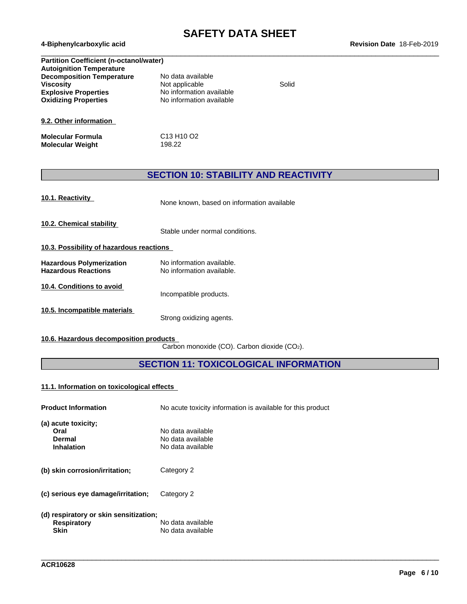$\_$  ,  $\_$  ,  $\_$  ,  $\_$  ,  $\_$  ,  $\_$  ,  $\_$  ,  $\_$  ,  $\_$  ,  $\_$  ,  $\_$  ,  $\_$  ,  $\_$  ,  $\_$  ,  $\_$  ,  $\_$  ,  $\_$  ,  $\_$  ,  $\_$  ,  $\_$  ,  $\_$  ,  $\_$  ,  $\_$  ,  $\_$  ,  $\_$  ,  $\_$  ,  $\_$  ,  $\_$  ,  $\_$  ,  $\_$  ,  $\_$  ,  $\_$  ,  $\_$  ,  $\_$  ,  $\_$  ,  $\_$  ,  $\_$  ,

| <b>Partition Coefficient (n-octanol/water)</b> |                                                |       |
|------------------------------------------------|------------------------------------------------|-------|
| <b>Autoignition Temperature</b>                |                                                |       |
| <b>Decomposition Temperature</b>               | No data available                              |       |
| <b>Viscosity</b>                               | Not applicable                                 | Solid |
| <b>Explosive Properties</b>                    | No information available                       |       |
| <b>Oxidizing Properties</b>                    | No information available                       |       |
| 9.2. Other information                         |                                                |       |
| <b>Molecular Formula</b>                       | C <sub>13</sub> H <sub>10</sub> O <sub>2</sub> |       |
| <b>Molecular Weight</b>                        | 198.22                                         |       |

# **SECTION 10: STABILITY AND REACTIVITY**

| 10.1. Reactivity |
|------------------|
|                  |

**10.1. Reactivity** None known, based on information available

**10.2. Chemical stability**

Stable under normal conditions.

- **10.3. Possibility of hazardous reactions**
- **Hazardous Polymerization** No information available.<br> **Hazardous Reactions** No information available. No information available.
- **10.4. Conditions to avoid**

**10.5. Incompatible materials**

Strong oxidizing agents.

Incompatible products.

**10.6. Hazardous decomposition products**

Carbon monoxide (CO). Carbon dioxide (CO2).

# **SECTION 11: TOXICOLOGICAL INFORMATION**

\_\_\_\_\_\_\_\_\_\_\_\_\_\_\_\_\_\_\_\_\_\_\_\_\_\_\_\_\_\_\_\_\_\_\_\_\_\_\_\_\_\_\_\_\_\_\_\_\_\_\_\_\_\_\_\_\_\_\_\_\_\_\_\_\_\_\_\_\_\_\_\_\_\_\_\_\_\_\_\_\_\_\_\_\_\_\_\_\_\_\_\_\_\_

#### **11.1. Information on toxicologicaleffects**

| <b>Product Information</b>                                                  | No acute toxicity information is available for this product |
|-----------------------------------------------------------------------------|-------------------------------------------------------------|
| (a) acute toxicity;<br>Oral<br>Dermal<br><b>Inhalation</b>                  | No data available<br>No data available<br>No data available |
| (b) skin corrosion/irritation;                                              | Category 2                                                  |
| (c) serious eye damage/irritation;                                          | Category 2                                                  |
| (d) respiratory or skin sensitization;<br><b>Respiratory</b><br><b>Skin</b> | No data available<br>No data available                      |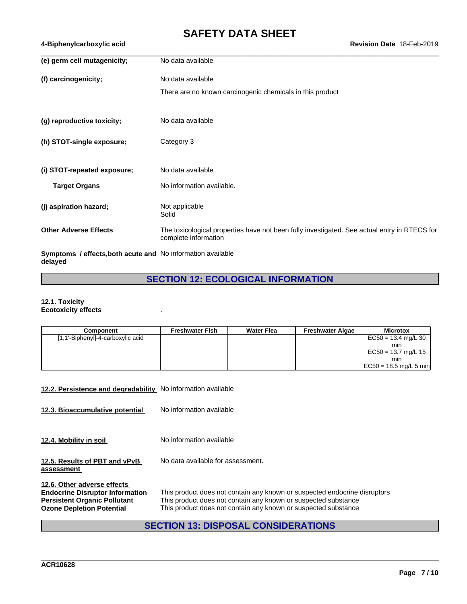| (e) germ cell mutagenicity;                                 | No data available                                                                                                    |
|-------------------------------------------------------------|----------------------------------------------------------------------------------------------------------------------|
| (f) carcinogenicity;                                        | No data available                                                                                                    |
|                                                             | There are no known carcinogenic chemicals in this product                                                            |
| (g) reproductive toxicity;                                  | No data available                                                                                                    |
| (h) STOT-single exposure;                                   | Category 3                                                                                                           |
| (i) STOT-repeated exposure;                                 | No data available                                                                                                    |
| <b>Target Organs</b>                                        | No information available.                                                                                            |
| (j) aspiration hazard;                                      | Not applicable<br>Solid                                                                                              |
| <b>Other Adverse Effects</b>                                | The toxicological properties have not been fully investigated. See actual entry in RTECS for<br>complete information |
| Symptoms / effects, both acute and No information available |                                                                                                                      |

**delayed**

# **SECTION 12: ECOLOGICAL INFORMATION**

#### **12.1. Toxicity Ecotoxicity effects** .

| Component                         | <b>Freshwater Fish</b> | <b>Water Flea</b> | <b>Freshwater Algae</b> | <b>Microtox</b>           |
|-----------------------------------|------------------------|-------------------|-------------------------|---------------------------|
| [1,1'-Biphenyl]-4-carboxylic acid |                        |                   |                         | $EC50 = 13.4$ mg/L 30     |
|                                   |                        |                   |                         | min                       |
|                                   |                        |                   |                         | $EC50 = 13.7$ mg/L 15     |
|                                   |                        |                   |                         | min                       |
|                                   |                        |                   |                         | $ EC50 = 18.5$ mg/L 5 min |

### **12.2. Persistence and degradability** No information available

**12.3. Bioaccumulative potential** No information available

**12.4. Mobility in soil** No information available

**12.5. Results of PBT and vPvB** No data available for assessment.

**assessment**

**12.6. Other adverse effects Endocrine Disruptor Information** This product does not contain any known or suspected endocrine disruptors **Persistent Organic Pollutant** This product does not contain any known or suspected substance **Persistent Organic Pollutant** This product does not contain any known or suspected substance<br> **Ozone Depletion Potential** This product does not contain any known or suspected substance This product does not contain any known or suspected substance

# **SECTION 13: DISPOSAL CONSIDERATIONS**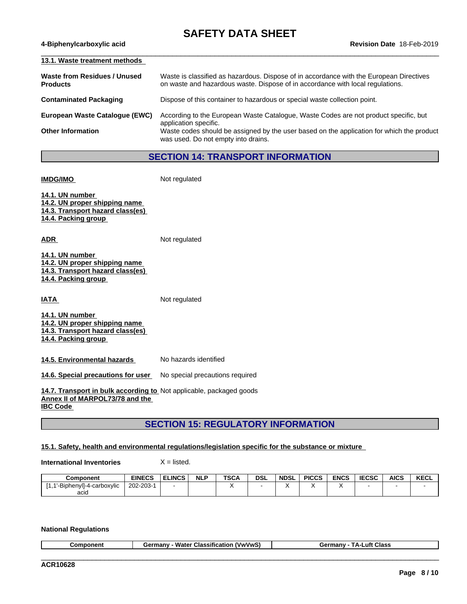$\_$  ,  $\_$  ,  $\_$  ,  $\_$  ,  $\_$  ,  $\_$  ,  $\_$  ,  $\_$  ,  $\_$  ,  $\_$  ,  $\_$  ,  $\_$  ,  $\_$  ,  $\_$  ,  $\_$  ,  $\_$  ,  $\_$  ,  $\_$  ,  $\_$  ,  $\_$  ,  $\_$  ,  $\_$  ,  $\_$  ,  $\_$  ,  $\_$  ,  $\_$  ,  $\_$  ,  $\_$  ,  $\_$  ,  $\_$  ,  $\_$  ,  $\_$  ,  $\_$  ,  $\_$  ,  $\_$  ,  $\_$  ,  $\_$  ,

| 13.1. Waste treatment methods                   |                                                                                                                                                                           |
|-------------------------------------------------|---------------------------------------------------------------------------------------------------------------------------------------------------------------------------|
| Waste from Residues / Unused<br><b>Products</b> | Waste is classified as hazardous. Dispose of in accordance with the European Directives<br>on waste and hazardous waste. Dispose of in accordance with local regulations. |
| <b>Contaminated Packaging</b>                   | Dispose of this container to hazardous or special waste collection point.                                                                                                 |
| European Waste Catalogue (EWC)                  | According to the European Waste Catalogue, Waste Codes are not product specific, but<br>application specific.                                                             |
| <b>Other Information</b>                        | Waste codes should be assigned by the user based on the application for which the product<br>was used. Do not empty into drains.                                          |

# **SECTION 14: TRANSPORT INFORMATION**

**IMDG/IMO** Not regulated

**14.1. UN number 14.2. UN proper shipping name 14.3. Transport hazard class(es) 14.4. Packing group**

**ADR** Not regulated

| 14.1. UN number                  |  |
|----------------------------------|--|
| 14.2. UN proper shipping name    |  |
| 14.3. Transport hazard class(es) |  |
| 14.4. Packing group              |  |

**IATA** Not regulated

**14.1. UN number 14.2. UN proper shipping name 14.3. Transport hazard class(es) 14.4. Packing group**

**14.5. Environmental hazards** No hazards identified

**14.6. Special precautions for user** No special precautions required

**14.7. Transport in bulk according to** Not applicable, packaged goods **Annex II of MARPOL73/78 and the IBC Code** 

**SECTION 15: REGULATORY INFORMATION**

**15.1. Safety, health and environmental regulations/legislation specific for the substance or mixture**

**International Inventories** X = listed.

| Component                           | <b>EINECS</b>   | <b>ELINCS</b> | <b>NLP</b> | <b>TSCA</b> | <b>DSL</b> | <b>NDSL</b> | <b>PICCS</b> | <b>ENCS</b> | <b>IECSC</b> | <b>AICS</b> | <b>KECL</b> |
|-------------------------------------|-----------------|---------------|------------|-------------|------------|-------------|--------------|-------------|--------------|-------------|-------------|
| <b>BiphenvII-4-u</b><br>-carboxvlic | $202 - 203 - 7$ |               |            |             |            |             |              |             |              |             |             |
| acid                                |                 |               |            |             |            |             |              |             |              |             |             |

### **National Regulations**

| --<br>nm | --<br>Water<br>max<br>'VwVw<br>⊶lassitir اب<br>ricatic<br>זוו וסכ | Class<br>วทบ<br>.utt<br>. |
|----------|-------------------------------------------------------------------|---------------------------|
|          |                                                                   |                           |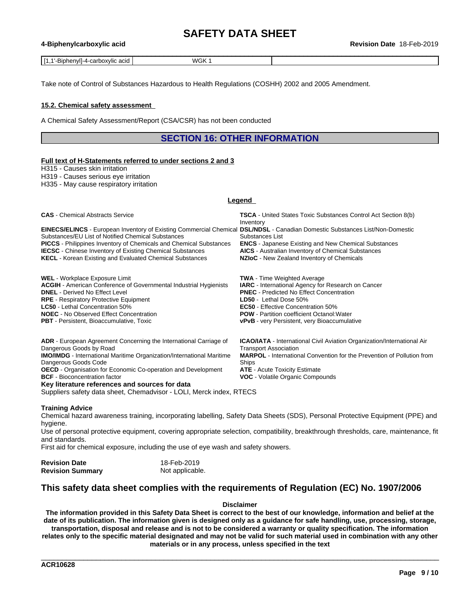Take note of Control of Substances Hazardous to Health Regulations (COSHH) 2002 and 2005 Amendment.

### **15.2. Chemical safety assessment**

A Chemical Safety Assessment/Report (CSA/CSR) has not been conducted

# **SECTION 16: OTHER INFORMATION**

#### **Full text of H-Statements referred to undersections 2 and 3**

H315 - Causes skin irritation

H319 - Causes serious eye irritation

H335 - May cause respiratory irritation

#### **Legend**

| <b>CAS</b> - Chemical Abstracts Service                                                                                                                                            | <b>TSCA</b> - United States Toxic Substances Control Act Section 8(b)<br>Inventory                                       |
|------------------------------------------------------------------------------------------------------------------------------------------------------------------------------------|--------------------------------------------------------------------------------------------------------------------------|
| EINECS/ELINCS - European Inventory of Existing Commercial Chemical DSL/NDSL - Canadian Domestic Substances List/Non-Domestic<br>Substances/EU List of Notified Chemical Substances | Substances List                                                                                                          |
| <b>PICCS</b> - Philippines Inventory of Chemicals and Chemical Substances<br><b>IECSC</b> - Chinese Inventory of Existing Chemical Substances                                      | <b>ENCS</b> - Japanese Existing and New Chemical Substances<br><b>AICS</b> - Australian Inventory of Chemical Substances |
| <b>KECL</b> - Korean Existing and Evaluated Chemical Substances                                                                                                                    | NZIoC - New Zealand Inventory of Chemicals                                                                               |
| <b>WEL</b> - Workplace Exposure Limit                                                                                                                                              | <b>TWA</b> - Time Weighted Average                                                                                       |
| <b>ACGIH</b> - American Conference of Governmental Industrial Hygienists                                                                                                           | <b>IARC</b> - International Agency for Research on Cancer                                                                |
| <b>DNEL</b> - Derived No Effect Level<br><b>RPE</b> - Respiratory Protective Equipment                                                                                             | <b>PNEC</b> - Predicted No Effect Concentration<br><b>LD50</b> - Lethal Dose 50%                                         |
| LC50 - Lethal Concentration 50%                                                                                                                                                    | <b>EC50</b> - Effective Concentration 50%                                                                                |
| <b>NOEC</b> - No Observed Effect Concentration                                                                                                                                     | <b>POW</b> - Partition coefficient Octanol: Water                                                                        |
| <b>PBT</b> - Persistent, Bioaccumulative, Toxic                                                                                                                                    | <b>vPvB</b> - very Persistent, very Bioaccumulative                                                                      |
| <b>ADR</b> - European Agreement Concerning the International Carriage of                                                                                                           | <b>ICAO/IATA</b> - International Civil Aviation Organization/International Air                                           |
| Dangerous Goods by Road<br><b>IMO/IMDG</b> - International Maritime Organization/International Maritime                                                                            | <b>Transport Association</b><br><b>MARPOL</b> - International Convention for the Prevention of Pollution from            |
| Dangerous Goods Code                                                                                                                                                               | Ships                                                                                                                    |
| <b>OECD</b> - Organisation for Economic Co-operation and Development                                                                                                               | <b>ATE</b> - Acute Toxicity Estimate                                                                                     |
| <b>BCF</b> - Bioconcentration factor                                                                                                                                               | <b>VOC</b> - Volatile Organic Compounds                                                                                  |

**VOC** - Volatile Organic Compounds

\_\_\_\_\_\_\_\_\_\_\_\_\_\_\_\_\_\_\_\_\_\_\_\_\_\_\_\_\_\_\_\_\_\_\_\_\_\_\_\_\_\_\_\_\_\_\_\_\_\_\_\_\_\_\_\_\_\_\_\_\_\_\_\_\_\_\_\_\_\_\_\_\_\_\_\_\_\_\_\_\_\_\_\_\_\_\_\_\_\_\_\_\_\_

#### **Training Advice**

Chemical hazard awareness training, incorporating labelling, Safety Data Sheets (SDS), Personal Protective Equipment (PPE) and hygiene.

Use of personal protective equipment, covering appropriate selection, compatibility, breakthrough thresholds, care, maintenance, fit and standards.

First aid for chemical exposure, including the use of eye wash and safety showers.

Suppliers safety data sheet, Chemadvisor - LOLI, Merck index, RTECS

| <b>Revision Date</b>    | 18-Feb-2019     |
|-------------------------|-----------------|
| <b>Revision Summary</b> | Not applicable. |

**Key literature references and sources for data**

# **This safety data sheet complies with the requirements of Regulation (EC) No. 1907/2006**

#### **Disclaimer**

The information provided in this Safety Data Sheet is correct to the best of our knowledge, information and belief at the date of its publication. The information given is designed only as a guidance for safe handling, use, processing, storage, transportation, disposal and release and is not to be considered a warranty or quality specification. The information relates only to the specific material designated and may not be valid for such material used in combination with any other **materials or in any process, unless specified in the text**